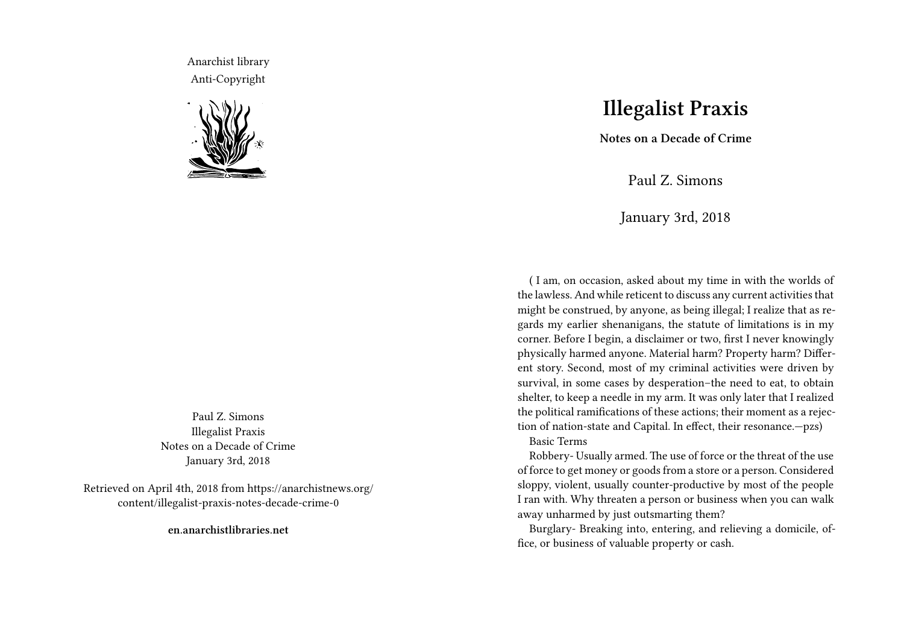Anarchist library Anti-Copyright



Paul Z. Simons Illegalist Praxis Notes on a Decade of Crime January 3rd, 2018

Retrieved on April 4th, 2018 from https://anarchistnews.org/ content/illegalist-praxis-notes-decade-crime-0

**en.anarchistlibraries.net**

## **Illegalist Praxis**

**Notes on a Decade of Crime**

Paul Z. Simons

January 3rd, 2018

( I am, on occasion, asked about my time in with the worlds of the lawless. And while reticent to discuss any current activities that might be construed, by anyone, as being illegal; I realize that as regards my earlier shenanigans, the statute of limitations is in my corner. Before I begin, a disclaimer or two, first I never knowingly physically harmed anyone. Material harm? Property harm? Different story. Second, most of my criminal activities were driven by survival, in some cases by desperation–the need to eat, to obtain shelter, to keep a needle in my arm. It was only later that I realized the political ramifications of these actions; their moment as a rejection of nation-state and Capital. In effect, their resonance.—pzs) Basic Terms

Robbery- Usually armed. The use of force or the threat of the use of force to get money or goods from a store or a person. Considered sloppy, violent, usually counter-productive by most of the people I ran with. Why threaten a person or business when you can walk away unharmed by just outsmarting them?

Burglary- Breaking into, entering, and relieving a domicile, office, or business of valuable property or cash.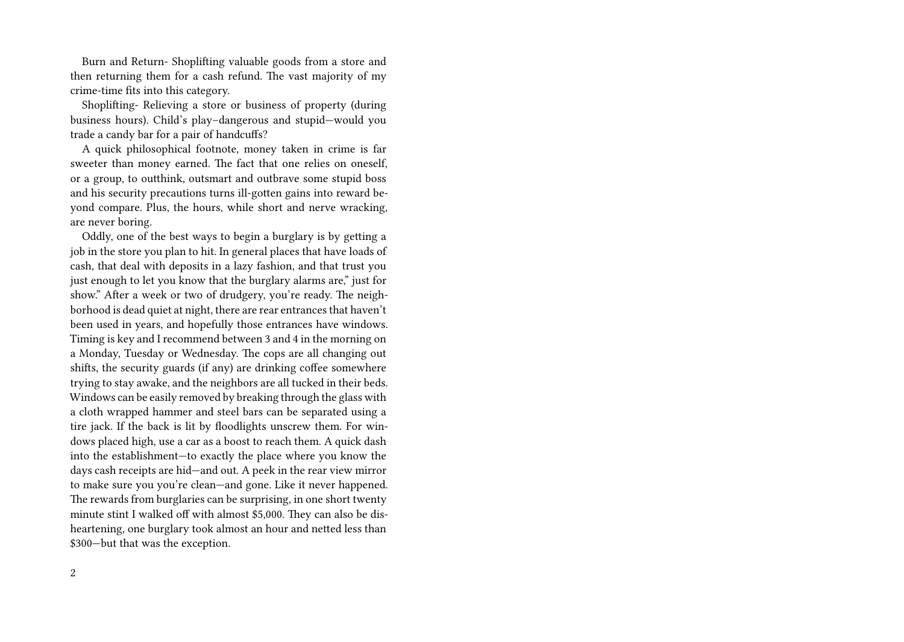Burn and Return- Shoplifting valuable goods from a store and then returning them for a cash refund. The vast majority of my crime-time fits into this category.

Shoplifting- Relieving a store or business of property (during business hours). Child's play–dangerous and stupid—would you trade a candy bar for a pair of handcuffs?

A quick philosophical footnote, money taken in crime is far sweeter than money earned. The fact that one relies on oneself, or a group, to outthink, outsmart and outbrave some stupid boss and his security precautions turns ill-gotten gains into reward beyond compare. Plus, the hours, while short and nerve wracking, are never boring.

Oddly, one of the best ways to begin a burglary is by getting a job in the store you plan to hit. In general places that have loads of cash, that deal with deposits in a lazy fashion, and that trust you just enough to let you know that the burglary alarms are," just for show." After a week or two of drudgery, you're ready. The neighborhood is dead quiet at night, there are rear entrances that haven't been used in years, and hopefully those entrances have windows. Timing is key and I recommend between 3 and 4 in the morning on a Monday, Tuesday or Wednesday. The cops are all changing out shifts, the security guards (if any) are drinking coffee somewhere trying to stay awake, and the neighbors are all tucked in their beds. Windows can be easily removed by breaking through the glass with a cloth wrapped hammer and steel bars can be separated using a tire jack. If the back is lit by floodlights unscrew them. For windows placed high, use a car as a boost to reach them. A quick dash into the establishment—to exactly the place where you know the days cash receipts are hid—and out. A peek in the rear view mirror to make sure you you're clean—and gone. Like it never happened. The rewards from burglaries can be surprising, in one short twenty minute stint I walked off with almost \$5,000. They can also be disheartening, one burglary took almost an hour and netted less than \$300—but that was the exception.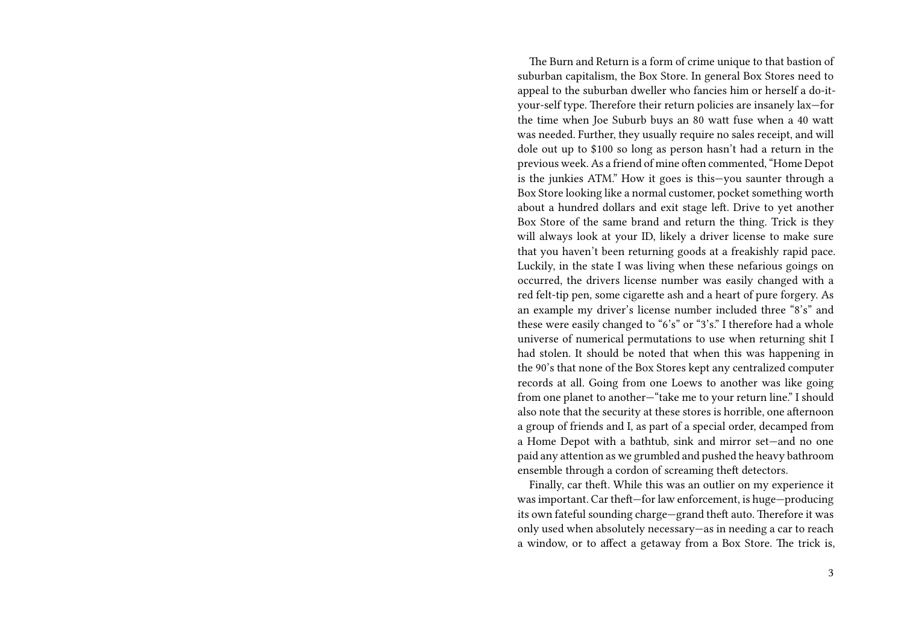The Burn and Return is a form of crime unique to that bastion of suburban capitalism, the Box Store. In general Box Stores need to appeal to the suburban dweller who fancies him or herself a do-ityour-self type. Therefore their return policies are insanely lax—for the time when Joe Suburb buys an 80 watt fuse when a 40 watt was needed. Further, they usually require no sales receipt, and will dole out up to \$100 so long as person hasn't had a return in the previous week. As a friend of mine often commented, "Home Depot is the junkies ATM." How it goes is this—you saunter through a Box Store looking like a normal customer, pocket something worth about a hundred dollars and exit stage left. Drive to yet another Box Store of the same brand and return the thing. Trick is they will always look at your ID, likely a driver license to make sure that you haven't been returning goods at a freakishly rapid pace. Luckily, in the state I was living when these nefarious goings on occurred, the drivers license number was easily changed with a red felt-tip pen, some cigarette ash and a heart of pure forgery. As an example my driver's license number included three "8's" and these were easily changed to "6's" or "3's." I therefore had a whole universe of numerical permutations to use when returning shit I had stolen. It should be noted that when this was happening in the 90's that none of the Box Stores kept any centralized computer records at all. Going from one Loews to another was like going from one planet to another—"take me to your return line." I should also note that the security at these stores is horrible, one afternoon a group of friends and I, as part of a special order, decamped from a Home Depot with a bathtub, sink and mirror set—and no one paid any attention as we grumbled and pushed the heavy bathroom ensemble through a cordon of screaming theft detectors.

Finally, car theft. While this was an outlier on my experience it was important. Car theft—for law enforcement, is huge—producing its own fateful sounding charge—grand theft auto. Therefore it was only used when absolutely necessary—as in needing a car to reach a window, or to affect a getaway from a Box Store. The trick is,